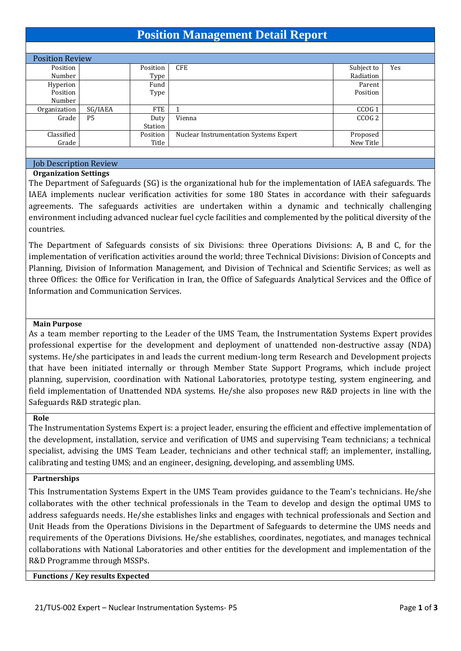# **Position Management Detail Report**

| <b>Position Review</b> |                |            |                                               |                   |     |
|------------------------|----------------|------------|-----------------------------------------------|-------------------|-----|
| Position               |                | Position   | <b>CFE</b>                                    | Subject to        | Yes |
| Number                 |                | Type       |                                               | Radiation         |     |
| Hyperion               |                | Fund       |                                               | Parent            |     |
| Position               |                | Type       |                                               | Position          |     |
| Number                 |                |            |                                               |                   |     |
| Organization           | SG/IAEA        | <b>FTE</b> |                                               | CCOG <sub>1</sub> |     |
| Grade                  | P <sub>5</sub> | Duty       | Vienna                                        | CCOG <sub>2</sub> |     |
|                        |                | Station    |                                               |                   |     |
| Classified             |                | Position   | <b>Nuclear Instrumentation Systems Expert</b> | Proposed          |     |
| Grade                  |                | Title      |                                               | New Title         |     |
|                        |                |            |                                               |                   |     |

# Job Description Review

#### **Organization Settings**

The Department of Safeguards (SG) is the organizational hub for the implementation of IAEA safeguards. The IAEA implements nuclear verification activities for some 180 States in accordance with their safeguards agreements. The safeguards activities are undertaken within a dynamic and technically challenging environment including advanced nuclear fuel cycle facilities and complemented by the political diversity of the countries.

The Department of Safeguards consists of six Divisions: three Operations Divisions: A, B and C, for the implementation of verification activities around the world; three Technical Divisions: Division of Concepts and Planning, Division of Information Management, and Division of Technical and Scientific Services; as well as three Offices: the Office for Verification in Iran, the Office of Safeguards Analytical Services and the Office of Information and Communication Services.

## **Main Purpose**

As a team member reporting to the Leader of the UMS Team, the Instrumentation Systems Expert provides professional expertise for the development and deployment of unattended non-destructive assay (NDA) systems. He/she participates in and leads the current medium-long term Research and Development projects that have been initiated internally or through Member State Support Programs, which include project planning, supervision, coordination with National Laboratories, prototype testing, system engineering, and field implementation of Unattended NDA systems. He/she also proposes new R&D projects in line with the Safeguards R&D strategic plan.

#### **Role**

The Instrumentation Systems Expert is: a project leader, ensuring the efficient and effective implementation of the development, installation, service and verification of UMS and supervising Team technicians; a technical specialist, advising the UMS Team Leader, technicians and other technical staff; an implementer, installing, calibrating and testing UMS; and an engineer, designing, developing, and assembling UMS.

#### **Partnerships**

This Instrumentation Systems Expert in the UMS Team provides guidance to the Team's technicians. He/she collaborates with the other technical professionals in the Team to develop and design the optimal UMS to address safeguards needs. He/she establishes links and engages with technical professionals and Section and Unit Heads from the Operations Divisions in the Department of Safeguards to determine the UMS needs and requirements of the Operations Divisions. He/she establishes, coordinates, negotiates, and manages technical collaborations with National Laboratories and other entities for the development and implementation of the R&D Programme through MSSPs.

**Functions / Key results Expected**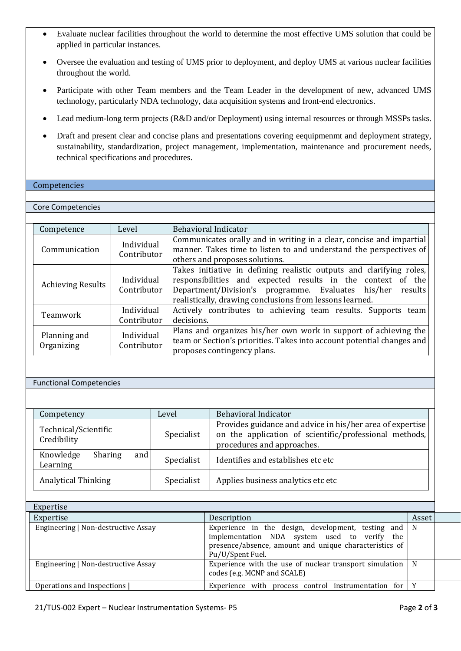- Evaluate nuclear facilities throughout the world to determine the most effective UMS solution that could be applied in particular instances.
- Oversee the evaluation and testing of UMS prior to deployment, and deploy UMS at various nuclear facilities throughout the world.
- Participate with other Team members and the Team Leader in the development of new, advanced UMS technology, particularly NDA technology, data acquisition systems and front-end electronics.
- Lead medium-long term projects (R&D and/or Deployment) using internal resources or through MSSPs tasks.
- Draft and present clear and concise plans and presentations covering eequipmenmt and deployment strategy, sustainability, standardization, project management, implementation, maintenance and procurement needs, technical specifications and procedures.

# Competencies

Core Competencies

| Competence                                 | Level                     | <b>Behavioral Indicator</b>                                                                                                                                                                                                                                      |  |  |
|--------------------------------------------|---------------------------|------------------------------------------------------------------------------------------------------------------------------------------------------------------------------------------------------------------------------------------------------------------|--|--|
| Individual<br>Communication<br>Contributor |                           | Communicates orally and in writing in a clear, concise and impartial<br>manner. Takes time to listen to and understand the perspectives of<br>others and proposes solutions.                                                                                     |  |  |
| <b>Achieving Results</b>                   | Individual<br>Contributor | Takes initiative in defining realistic outputs and clarifying roles,<br>responsibilities and expected results in the context of the<br>Department/Division's programme. Evaluates his/her<br>results<br>realistically, drawing conclusions from lessons learned. |  |  |
| Teamwork                                   | Individual<br>Contributor | Actively contributes to achieving team results. Supports team<br>decisions.                                                                                                                                                                                      |  |  |
| Planning and<br>Organizing                 | Individual<br>Contributor | Plans and organizes his/her own work in support of achieving the<br>team or Section's priorities. Takes into account potential changes and<br>proposes contingency plans.                                                                                        |  |  |

## Functional Competencies

| Competency                                     | Level      | Behavioral Indicator                                                                                                                              |  |
|------------------------------------------------|------------|---------------------------------------------------------------------------------------------------------------------------------------------------|--|
| Technical/Scientific<br>Credibility            | Specialist | Provides guidance and advice in his/her area of expertise<br>on the application of scientific/professional methods,<br>procedures and approaches. |  |
| Knowledge<br><b>Sharing</b><br>and<br>Learning | Specialist | Identifies and establishes etc etc                                                                                                                |  |
| <b>Analytical Thinking</b>                     | Specialist | Applies business analytics etc etc                                                                                                                |  |

| Expertise                           |                                                                                                                                                                                            |       |  |
|-------------------------------------|--------------------------------------------------------------------------------------------------------------------------------------------------------------------------------------------|-------|--|
| Expertise                           | Description                                                                                                                                                                                | Asset |  |
| Engineering   Non-destructive Assay | Experience in the design, development, testing and $\vert$ N<br>implementation NDA system used to verify the<br>presence/absence, amount and unique characteristics of<br>Pu/U/Spent Fuel. |       |  |
| Engineering   Non-destructive Assay | Experience with the use of nuclear transport simulation<br>codes (e.g. MCNP and SCALE)                                                                                                     | - N   |  |
| Operations and Inspections          | Experience with process control instrumentation for                                                                                                                                        |       |  |

 $\mathbf{I}$